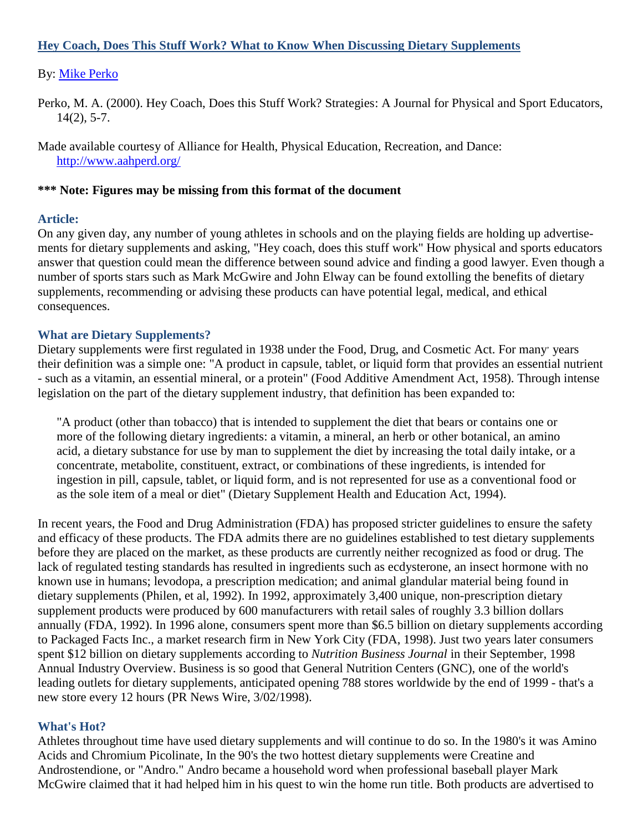## **Hey Coach, Does This Stuff Work? What to Know When Discussing Dietary Supplements**

## By: [Mike Perko](http://libres.uncg.edu/ir/uncg/clist.aspx?id=3237)

Perko, M. A. (2000). Hey Coach, Does this Stuff Work? Strategies: A Journal for Physical and Sport Educators, 14(2), 5-7.

Made available courtesy of Alliance for Health, Physical Education, Recreation, and Dance: <http://www.aahperd.org/>

#### **\*\*\* Note: Figures may be missing from this format of the document**

#### **Article:**

On any given day, any number of young athletes in schools and on the playing fields are holding up advertisements for dietary supplements and asking, "Hey coach, does this stuff work" How physical and sports educators answer that question could mean the difference between sound advice and finding a good lawyer. Even though a number of sports stars such as Mark McGwire and John Elway can be found extolling the benefits of dietary supplements, recommending or advising these products can have potential legal, medical, and ethical consequences.

#### **What are Dietary Supplements?**

Dietary supplements were first regulated in 1938 under the Food, Drug, and Cosmetic Act. For many' years their definition was a simple one: "A product in capsule, tablet, or liquid form that provides an essential nutrient - such as a vitamin, an essential mineral, or a protein" (Food Additive Amendment Act, 1958). Through intense legislation on the part of the dietary supplement industry, that definition has been expanded to:

"A product (other than tobacco) that is intended to supplement the diet that bears or contains one or more of the following dietary ingredients: a vitamin, a mineral, an herb or other botanical, an amino acid, a dietary substance for use by man to supplement the diet by increasing the total daily intake, or a concentrate, metabolite, constituent, extract, or combinations of these ingredients, is intended for ingestion in pill, capsule, tablet, or liquid form, and is not represented for use as a conventional food or as the sole item of a meal or diet" (Dietary Supplement Health and Education Act, 1994).

In recent years, the Food and Drug Administration (FDA) has proposed stricter guidelines to ensure the safety and efficacy of these products. The FDA admits there are no guidelines established to test dietary supplements before they are placed on the market, as these products are currently neither recognized as food or drug. The lack of regulated testing standards has resulted in ingredients such as ecdysterone, an insect hormone with no known use in humans; levodopa, a prescription medication; and animal glandular material being found in dietary supplements (Philen, et al, 1992). In 1992, approximately 3,400 unique, non-prescription dietary supplement products were produced by 600 manufacturers with retail sales of roughly 3.3 billion dollars annually (FDA, 1992). In 1996 alone, consumers spent more than \$6.5 billion on dietary supplements according to Packaged Facts Inc., a market research firm in New York City (FDA, 1998). Just two years later consumers spent \$12 billion on dietary supplements according to *Nutrition Business Journal* in their September, 1998 Annual Industry Overview. Business is so good that General Nutrition Centers (GNC), one of the world's leading outlets for dietary supplements, anticipated opening 788 stores worldwide by the end of 1999 - that's a new store every 12 hours (PR News Wire, 3/02/1998).

#### **What's Hot?**

Athletes throughout time have used dietary supplements and will continue to do so. In the 1980's it was Amino Acids and Chromium Picolinate, In the 90's the two hottest dietary supplements were Creatine and Androstendione, or "Andro." Andro became a household word when professional baseball player Mark McGwire claimed that it had helped him in his quest to win the home run title. Both products are advertised to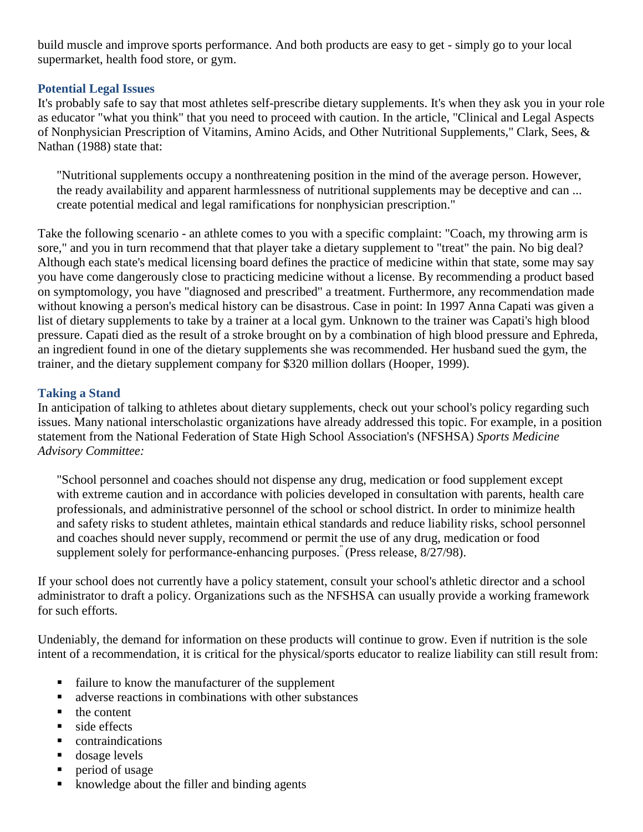build muscle and improve sports performance. And both products are easy to get - simply go to your local supermarket, health food store, or gym.

### **Potential Legal Issues**

It's probably safe to say that most athletes self-prescribe dietary supplements. It's when they ask you in your role as educator "what you think" that you need to proceed with caution. In the article, "Clinical and Legal Aspects of Nonphysician Prescription of Vitamins, Amino Acids, and Other Nutritional Supplements," Clark, Sees, & Nathan (1988) state that:

"Nutritional supplements occupy a nonthreatening position in the mind of the average person. However, the ready availability and apparent harmlessness of nutritional supplements may be deceptive and can ... create potential medical and legal ramifications for nonphysician prescription."

Take the following scenario - an athlete comes to you with a specific complaint: "Coach, my throwing arm is sore," and you in turn recommend that that player take a dietary supplement to "treat" the pain. No big deal? Although each state's medical licensing board defines the practice of medicine within that state, some may say you have come dangerously close to practicing medicine without a license. By recommending a product based on symptomology, you have "diagnosed and prescribed" a treatment. Furthermore, any recommendation made without knowing a person's medical history can be disastrous. Case in point: In 1997 Anna Capati was given a list of dietary supplements to take by a trainer at a local gym. Unknown to the trainer was Capati's high blood pressure. Capati died as the result of a stroke brought on by a combination of high blood pressure and Ephreda, an ingredient found in one of the dietary supplements she was recommended. Her husband sued the gym, the trainer, and the dietary supplement company for \$320 million dollars (Hooper, 1999).

## **Taking a Stand**

In anticipation of talking to athletes about dietary supplements, check out your school's policy regarding such issues. Many national interscholastic organizations have already addressed this topic. For example, in a position statement from the National Federation of State High School Association's (NFSHSA) *Sports Medicine Advisory Committee:*

"School personnel and coaches should not dispense any drug, medication or food supplement except with extreme caution and in accordance with policies developed in consultation with parents, health care professionals, and administrative personnel of the school or school district. In order to minimize health and safety risks to student athletes, maintain ethical standards and reduce liability risks, school personnel and coaches should never supply, recommend or permit the use of any drug, medication or food supplement solely for performance-enhancing purposes. (Press release,  $8/27/98$ ).

If your school does not currently have a policy statement, consult your school's athletic director and a school administrator to draft a policy. Organizations such as the NFSHSA can usually provide a working framework for such efforts.

Undeniably, the demand for information on these products will continue to grow. Even if nutrition is the sole intent of a recommendation, it is critical for the physical/sports educator to realize liability can still result from:

- failure to know the manufacturer of the supplement
- adverse reactions in combinations with other substances
- $\blacksquare$  the content
- side effects
- **CONTECT** contraindications
- dosage levels
- **P** period of usage
- knowledge about the filler and binding agents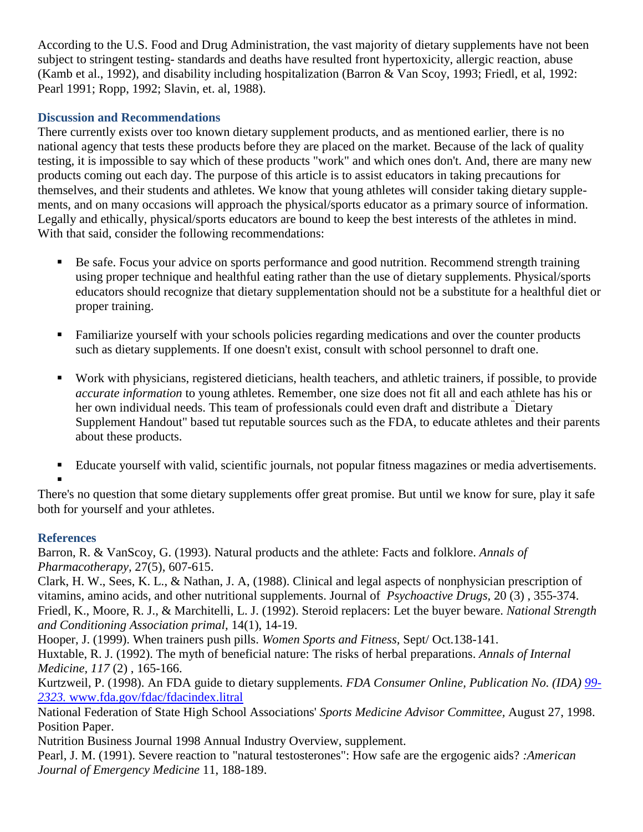According to the U.S. Food and Drug Administration, the vast majority of dietary supplements have not been subject to stringent testing- standards and deaths have resulted front hypertoxicity, allergic reaction, abuse (Kamb et al., 1992), and disability including hospitalization (Barron & Van Scoy, 1993; Friedl, et al, 1992: Pearl 1991; Ropp, 1992; Slavin, et. al, 1988).

# **Discussion and Recommendations**

There currently exists over too known dietary supplement products, and as mentioned earlier, there is no national agency that tests these products before they are placed on the market. Because of the lack of quality testing, it is impossible to say which of these products "work" and which ones don't. And, there are many new products coming out each day. The purpose of this article is to assist educators in taking precautions for themselves, and their students and athletes. We know that young athletes will consider taking dietary supplements, and on many occasions will approach the physical/sports educator as a primary source of information. Legally and ethically, physical/sports educators are bound to keep the best interests of the athletes in mind. With that said, consider the following recommendations:

- Be safe. Focus your advice on sports performance and good nutrition. Recommend strength training using proper technique and healthful eating rather than the use of dietary supplements. Physical/sports educators should recognize that dietary supplementation should not be a substitute for a healthful diet or proper training.
- Familiarize yourself with your schools policies regarding medications and over the counter products such as dietary supplements. If one doesn't exist, consult with school personnel to draft one.
- Work with physicians, registered dieticians, health teachers, and athletic trainers, if possible, to provide *accurate information* to young athletes. Remember, one size does not fit all and each athlete has his or her own individual needs. This team of professionals could even draft and distribute a "Dietary Supplement Handout" based tut reputable sources such as the FDA, to educate athletes and their parents about these products.
- Educate yourself with valid, scientific journals, not popular fitness magazines or media advertisements.

.

There's no question that some dietary supplements offer great promise. But until we know for sure, play it safe both for yourself and your athletes.

## **References**

Barron, R. & VanScoy, G. (1993). Natural products and the athlete: Facts and folklore. *Annals of Pharmacotherapy,* 27(5), 607-615.

Clark, H. W., Sees, K. L., & Nathan, J. A, (1988). Clinical and legal aspects of nonphysician prescription of vitamins, amino acids, and other nutritional supplements. Journal of *Psychoactive Drugs,* 20 (3) , 355-374. Friedl, K., Moore, R. J., & Marchitelli, L. J. (1992). Steroid replacers: Let the buyer beware. *National Strength and Conditioning Association primal,* 14(1), 14-19.

Hooper, J. (1999). When trainers push pills. *Women Sports and Fitness,* Sept/ Oct.138-141. Huxtable, R. J. (1992). The myth of beneficial nature: The risks of herbal preparations. *Annals of Internal Medicine, 117* (2) , 165-166.

Kurtzweil, P. (1998). An FDA guide to dietary supplements. *FDA Consumer Online, Publication No. (IDA) [99-](http://99-2323.www.fda.gov/fdac/fdacindex.litral) [2323.](http://99-2323.www.fda.gov/fdac/fdacindex.litral)* www.fda.gov/fdac/fdacindex.litral

National Federation of State High School Associations' *Sports Medicine Advisor Committee,* August 27, 1998. Position Paper.

Nutrition Business Journal 1998 Annual Industry Overview, supplement.

Pearl, J. M. (1991). Severe reaction to "natural testosterones": How safe are the ergogenic aids? *:American Journal of Emergency Medicine* 11, 188-189.